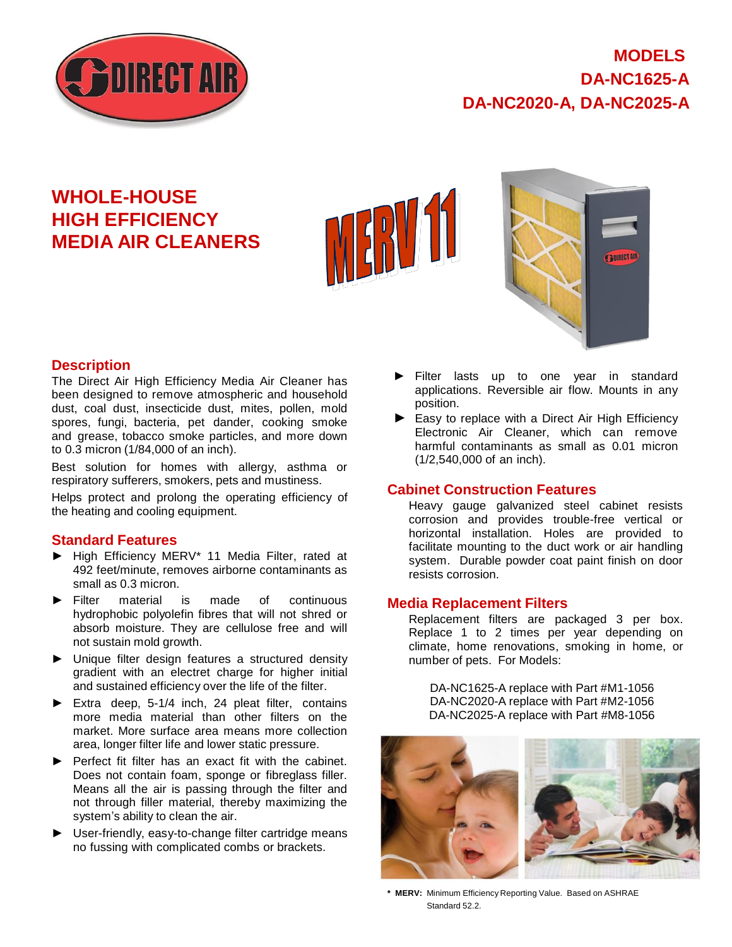

# **MODELS DA-NC1625-A DA-NC2020-A, DA-NC2025-A**

# **WHOLE-HOUSE HIGH EFFICIENCY MEDIA AIR CLEANERS**





### **Description**

The Direct Air High Efficiency Media Air Cleaner has been designed to remove atmospheric and household dust, coal dust, insecticide dust, mites, pollen, mold spores, fungi, bacteria, pet dander, cooking smoke and grease, tobacco smoke particles, and more down to 0.3 micron (1/84,000 of an inch).

Best solution for homes with allergy, asthma or respiratory sufferers, smokers, pets and mustiness.

Helps protect and prolong the operating efficiency of the heating and cooling equipment.

### **Standard Features**

- ► High Efficiency MERV\* 11 Media Filter, rated at 492 feet/minute, removes airborne contaminants as small as 0.3 micron.
- ► Filter material is made of continuous hydrophobic polyolefin fibres that will not shred or absorb moisture. They are cellulose free and will not sustain mold growth.
- ► Unique filter design features a structured density gradient with an electret charge for higher initial and sustained efficiency over the life of the filter.
- ► Extra deep, 5-1/4 inch, 24 pleat filter, contains more media material than other filters on the market. More surface area means more collection area, longer filter life and lower static pressure.
- ► Perfect fit filter has an exact fit with the cabinet. Does not contain foam, sponge or fibreglass filler. Means all the air is passing through the filter and not through filler material, thereby maximizing the system's ability to clean the air.
- ► User-friendly, easy-to-change filter cartridge means no fussing with complicated combs or brackets.
- Filter lasts up to one year in standard applications. Reversible air flow. Mounts in any position.
- ► Easy to replace with a Direct Air High Efficiency Electronic Air Cleaner, which can remove harmful contaminants as small as 0.01 micron (1/2,540,000 of an inch).

#### **Cabinet Construction Features**

Heavy gauge galvanized steel cabinet resists corrosion and provides trouble-free vertical or horizontal installation. Holes are provided to facilitate mounting to the duct work or air handling system. Durable powder coat paint finish on door resists corrosion.

#### **Media Replacement Filters**

Replacement filters are packaged 3 per box. Replace 1 to 2 times per year depending on climate, home renovations, smoking in home, or number of pets. For Models:

DA-NC1625-A replace with Part #M1-1056 DA-NC2020-A replace with Part #M2-1056 DA-NC2025-A replace with Part #M8-1056



**\* MERV:** Minimum Efficiency Reporting Value. Based on ASHRAE Standard 52.2.